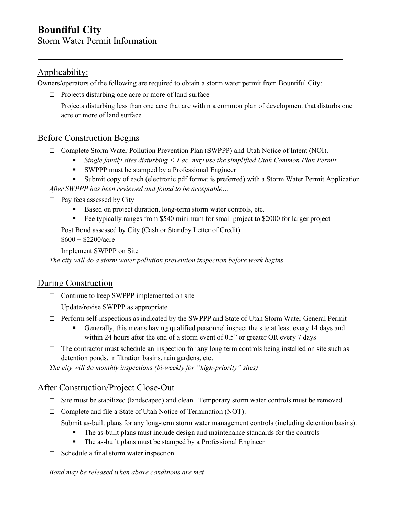## Applicability:

Owners/operators of the following are required to obtain a storm water permit from Bountiful City:

- $\Box$  Projects disturbing one acre or more of land surface
- $\Box$  Projects disturbing less than one acre that are within a common plan of development that disturbs one acre or more of land surface

#### Before Construction Begins

- □ Complete Storm Water Pollution Prevention Plan (SWPPP) and Utah Notice of Intent (NOI).
	- *Single family sites disturbing < 1 ac. may use the simplified Utah Common Plan Permit*
	- SWPPP must be stamped by a Professional Engineer
- Submit copy of each (electronic pdf format is preferred) with a Storm Water Permit Application *After SWPPP has been reviewed and found to be acceptable…*
- $\Box$  Pay fees assessed by City
	- Based on project duration, long-term storm water controls, etc.
	- Fee typically ranges from \$540 minimum for small project to \$2000 for larger project
- □ Post Bond assessed by City (Cash or Standby Letter of Credit)  $$600 + $2200/$ acre
- □ Implement SWPPP on Site

*The city will do a storm water pollution prevention inspection before work begins* 

#### During Construction

- □ Continue to keep SWPPP implemented on site
- □ Update/revise SWPPP as appropriate
- □ Perform self-inspections as indicated by the SWPPP and State of Utah Storm Water General Permit
	- Generally, this means having qualified personnel inspect the site at least every 14 days and within 24 hours after the end of a storm event of 0.5" or greater OR every 7 days
- $\Box$  The contractor must schedule an inspection for any long term controls being installed on site such as detention ponds, infiltration basins, rain gardens, etc.

*The city will do monthly inspections (bi-weekly for "high-priority" sites)* 

#### After Construction/Project Close-Out

- □ Site must be stabilized (landscaped) and clean. Temporary storm water controls must be removed
- □ Complete and file a State of Utah Notice of Termination (NOT).
- $\Box$  Submit as-built plans for any long-term storm water management controls (including detention basins).
	- The as-built plans must include design and maintenance standards for the controls
	- The as-built plans must be stamped by a Professional Engineer
- $\Box$  Schedule a final storm water inspection

*Bond may be released when above conditions are met*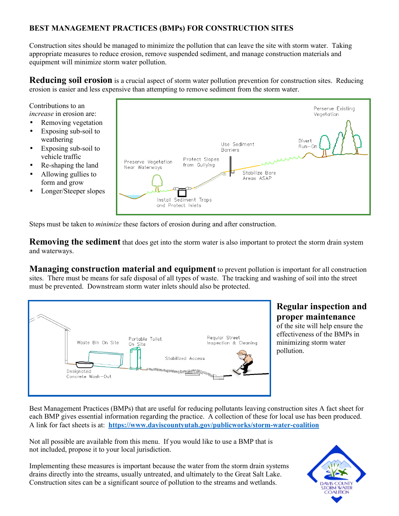### **BEST MANAGEMENT PRACTICES (BMPs) FOR CONSTRUCTION SITES**

Construction sites should be managed to minimize the pollution that can leave the site with storm water. Taking appropriate measures to reduce erosion, remove suspended sediment, and manage construction materials and equipment will minimize storm water pollution.

**Reducing soil erosion** is a crucial aspect of storm water pollution prevention for construction sites. Reducing erosion is easier and less expensive than attempting to remove sediment from the storm water.

Contributions to an *increase* in erosion are:

- Removing vegetation
- Exposing sub-soil to weathering
- Exposing sub-soil to vehicle traffic
- Re-shaping the land
- Allowing gullies to form and grow
- Longer/Steeper slopes



Steps must be taken to *minimize* these factors of erosion during and after construction.

**Removing the sediment** that does get into the storm water is also important to protect the storm drain system and waterways.

**Managing construction material and equipment** to prevent pollution is important for all construction sites. There must be means for safe disposal of all types of waste. The tracking and washing of soil into the street must be prevented. Downstream storm water inlets should also be protected.



# **Regular inspection and proper maintenance**

of the site will help ensure the effectiveness of the BMPs in minimizing storm water pollution.

Best Management Practices (BMPs) that are useful for reducing pollutants leaving construction sites A fact sheet for each BMP gives essential information regarding the practice. A collection of these for local use has been produced. A link for fact sheets is at: **https://www.daviscountyutah.gov/publicworks/storm-water-coalition**

Not all possible are available from this menu. If you would like to use a BMP that is not included, propose it to your local jurisdiction.

Implementing these measures is important because the water from the storm drain systems drains directly into the streams, usually untreated, and ultimately to the Great Salt Lake. Construction sites can be a significant source of pollution to the streams and wetlands.

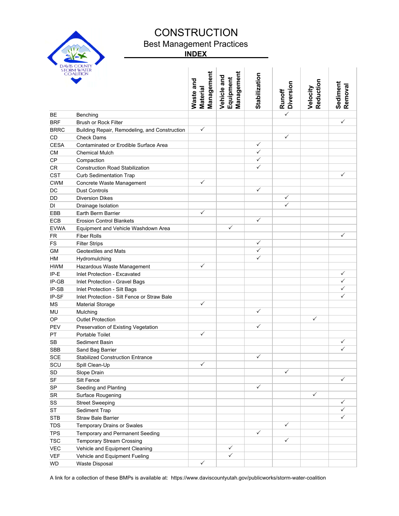

# **CONSTRUCTION**

Best Management Practices

 **INDEX** 

|             | STORM WATER<br>COALITION                                                                                                 | Management<br>Waste and<br>Material | Management<br>Vehicle and<br>Equipment | <b>Stabilization</b> | <b>Diversion</b><br>Runoff | Reduction<br>Velocity | Sediment<br>Removal |
|-------------|--------------------------------------------------------------------------------------------------------------------------|-------------------------------------|----------------------------------------|----------------------|----------------------------|-----------------------|---------------------|
| BЕ          | Benching                                                                                                                 |                                     |                                        |                      | $\overline{\checkmark}$    |                       |                     |
| <b>BRF</b>  | <b>Brush or Rock Filter</b>                                                                                              |                                     |                                        |                      |                            |                       | $\checkmark$        |
| <b>BRRC</b> | Building Repair, Remodeling, and Construction                                                                            | $\checkmark$                        |                                        |                      |                            |                       |                     |
| CD          | <b>Check Dams</b>                                                                                                        |                                     |                                        |                      | $\checkmark$               |                       |                     |
| <b>CESA</b> | Contaminated or Erodible Surface Area                                                                                    |                                     |                                        | ✓                    |                            |                       |                     |
| <b>CM</b>   | <b>Chemical Mulch</b>                                                                                                    |                                     |                                        | ✓                    |                            |                       |                     |
| CP          | Compaction                                                                                                               |                                     |                                        | ✓                    |                            |                       |                     |
| CR          | <b>Construction Road Stabilization</b>                                                                                   |                                     |                                        | $\checkmark$         |                            |                       |                     |
| <b>CST</b>  | <b>Curb Sedimentation Trap</b>                                                                                           |                                     |                                        |                      |                            |                       | $\checkmark$        |
| <b>CWM</b>  | Concrete Waste Management                                                                                                | $\checkmark$                        |                                        |                      |                            |                       |                     |
| DC          | <b>Dust Controls</b>                                                                                                     |                                     |                                        | ✓                    |                            |                       |                     |
| DD          | <b>Diversion Dikes</b>                                                                                                   |                                     |                                        |                      | $\checkmark$               |                       |                     |
| DI          | Drainage Isolation                                                                                                       |                                     |                                        |                      | $\checkmark$               |                       |                     |
| EBB         | Earth Berm Barrier                                                                                                       | $\checkmark$                        |                                        |                      |                            |                       |                     |
| <b>ECB</b>  | <b>Erosion Control Blankets</b>                                                                                          |                                     |                                        | ✓                    |                            |                       |                     |
| <b>EVWA</b> | Equipment and Vehicle Washdown Area                                                                                      |                                     | ✓                                      |                      |                            |                       |                     |
| FR          | <b>Fiber Rolls</b>                                                                                                       |                                     |                                        |                      |                            |                       | $\checkmark$        |
| <b>FS</b>   | <b>Filter Strips</b>                                                                                                     |                                     |                                        | ✓                    |                            |                       |                     |
| GM          | Geotextiles and Mats                                                                                                     |                                     |                                        | $\checkmark$         |                            |                       |                     |
| HM          | Hydromulching                                                                                                            |                                     |                                        | ✓                    |                            |                       |                     |
| <b>HWM</b>  | Hazardous Waste Management                                                                                               | ✓                                   |                                        |                      |                            |                       |                     |
| IP-E        | Inlet Protection - Excavated                                                                                             |                                     |                                        |                      |                            |                       | ✓                   |
| IP-GB       | Inlet Protection - Gravel Bags                                                                                           |                                     |                                        |                      |                            |                       | $\checkmark$        |
| IP-SB       | Inlet Protection - Silt Bags                                                                                             |                                     |                                        |                      |                            |                       | $\checkmark$        |
| IP-SF       | Inlet Protection - Silt Fence or Straw Bale                                                                              |                                     |                                        |                      |                            |                       | $\checkmark$        |
| MS          | <b>Material Storage</b>                                                                                                  | $\checkmark$                        |                                        |                      |                            |                       |                     |
| MU          | Mulching                                                                                                                 |                                     |                                        | ✓                    |                            |                       |                     |
| OP          | <b>Outlet Protection</b>                                                                                                 |                                     |                                        |                      |                            | $\checkmark$          |                     |
| PEV         | Preservation of Existing Vegetation                                                                                      |                                     |                                        | ✓                    |                            |                       |                     |
| PT          | Portable Toilet                                                                                                          | $\checkmark$                        |                                        |                      |                            |                       |                     |
| <b>SB</b>   | Sediment Basin                                                                                                           |                                     |                                        |                      |                            |                       | ✓                   |
| <b>SBB</b>  | Sand Bag Barrier                                                                                                         |                                     |                                        |                      |                            |                       | ✓                   |
| <b>SCE</b>  | <b>Stabilized Construction Entrance</b>                                                                                  |                                     |                                        | ✓                    |                            |                       |                     |
| SCU         | Spill Clean-Up                                                                                                           | ✓                                   |                                        |                      |                            |                       |                     |
| SD          | Slope Drain                                                                                                              |                                     |                                        |                      | ✓                          |                       |                     |
| SF          | Silt Fence                                                                                                               |                                     |                                        |                      |                            |                       | $\checkmark$        |
| SP          | Seeding and Planting                                                                                                     |                                     |                                        | $\checkmark$         |                            |                       |                     |
| SR          | Surface Rougening                                                                                                        |                                     |                                        |                      |                            | $\checkmark$          |                     |
| SS          | <b>Street Sweeping</b>                                                                                                   |                                     |                                        |                      |                            |                       | ✓                   |
| ST          | Sediment Trap                                                                                                            |                                     |                                        |                      |                            |                       | ✓                   |
| <b>STB</b>  | <b>Straw Bale Barrier</b>                                                                                                |                                     |                                        |                      |                            |                       | $\checkmark$        |
| <b>TDS</b>  | <b>Temporary Drains or Swales</b>                                                                                        |                                     |                                        |                      | $\checkmark$               |                       |                     |
| <b>TPS</b>  | Temporary and Permanent Seeding                                                                                          |                                     |                                        | ✓                    |                            |                       |                     |
| <b>TSC</b>  | <b>Temporary Stream Crossing</b>                                                                                         |                                     |                                        |                      | $\checkmark$               |                       |                     |
| <b>VEC</b>  | Vehicle and Equipment Cleaning                                                                                           |                                     | ✓                                      |                      |                            |                       |                     |
| <b>VEF</b>  | Vehicle and Equipment Fueling                                                                                            |                                     | ✓                                      |                      |                            |                       |                     |
| WD          | <b>Waste Disposal</b>                                                                                                    | ✓                                   |                                        |                      |                            |                       |                     |
|             | A link for a collection of these BMPs is available at: https://www.daviscountyutah.gov/publicworks/storm-water-coalition |                                     |                                        |                      |                            |                       |                     |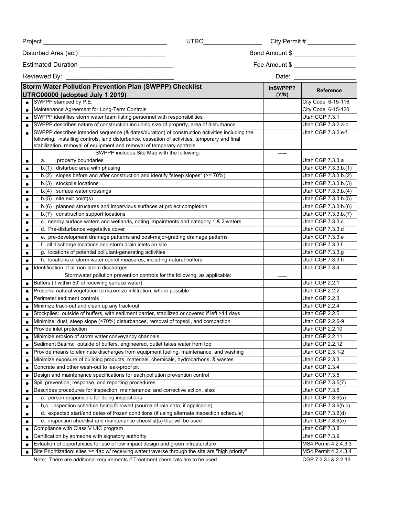|                                                                                                                                                                                                                                                                                                                         | UTRC___________________                                                   | City Permit # $\frac{1}{2}$ |                                        |  |  |  |
|-------------------------------------------------------------------------------------------------------------------------------------------------------------------------------------------------------------------------------------------------------------------------------------------------------------------------|---------------------------------------------------------------------------|-----------------------------|----------------------------------------|--|--|--|
|                                                                                                                                                                                                                                                                                                                         |                                                                           |                             |                                        |  |  |  |
| Estimated Duration ______________________________                                                                                                                                                                                                                                                                       |                                                                           | Fee Amount \$               |                                        |  |  |  |
| Reviewed By: New York<br>Date: <b>Date</b>                                                                                                                                                                                                                                                                              |                                                                           |                             |                                        |  |  |  |
| Storm Water Pollution Prevention Plan (SWPPP) Checklist<br>UTRC00000 (adopted July 1 2019)                                                                                                                                                                                                                              |                                                                           | InSWPPP?<br>(Y/N)           | <b>Reference</b>                       |  |  |  |
| SWPPP stamped by P.E.                                                                                                                                                                                                                                                                                                   |                                                                           |                             | City Code 6-15-116                     |  |  |  |
| Maintenance Agreement for Long-Term Controls                                                                                                                                                                                                                                                                            |                                                                           |                             | City Code 6-15-120                     |  |  |  |
| $\bullet$                                                                                                                                                                                                                                                                                                               | SWPPP identifies storm water team listing personnel with responsibilities |                             |                                        |  |  |  |
| SWPPP describes nature of construction including size of property, area of disturbance<br>$\bullet$                                                                                                                                                                                                                     |                                                                           |                             | Utah CGP 7.3.2.a-c                     |  |  |  |
| SWPPP describes intended sequence (& dates/duration) of construction activities including the<br>following: installing controls, land disturbance, cessation of activities, temporary and final<br>stabilization, removal of equipment and removal of temporary controls<br>SWPPP includes Site Map with the following: |                                                                           |                             | Utah CGP 7.3.2.e-f                     |  |  |  |
| property boundaries<br>a.<br>$\bullet$                                                                                                                                                                                                                                                                                  |                                                                           |                             | Utah CGP 7.3.3.a                       |  |  |  |
| b.(1) disturbed area with phasing                                                                                                                                                                                                                                                                                       |                                                                           |                             | Utah CGP 7.3.3.b.(1)                   |  |  |  |
| b.(2) slopes before and after construction and identify "steep slopes" (>= 70%)                                                                                                                                                                                                                                         |                                                                           |                             | Utah CGP 7.3.3.b.(2)                   |  |  |  |
| b.(3) stockpile locations                                                                                                                                                                                                                                                                                               |                                                                           |                             | Utah CGP 7.3.3.b.(3)                   |  |  |  |
| b.(4) surface water crossings                                                                                                                                                                                                                                                                                           |                                                                           |                             | Utah CGP 7.3.3.b.(4)                   |  |  |  |
| $b.(5)$ site exit point(s)<br>$\bullet$                                                                                                                                                                                                                                                                                 |                                                                           |                             | Utah CGP 7.3.3.b.(5)                   |  |  |  |
| b.(6) planned structures and impervious surfaces at project completion<br>$\bullet$                                                                                                                                                                                                                                     |                                                                           |                             | Utah CGP 7.3.3.b.(6)                   |  |  |  |
| b.(7) construction support locations<br>$\bullet$                                                                                                                                                                                                                                                                       |                                                                           |                             | Utah CGP 7.3.3.b.(7)                   |  |  |  |
| c. nearby surface waters and wetlands, noting impairments and category 1 & 2 waters                                                                                                                                                                                                                                     |                                                                           |                             | Utah CGP 7.3.3.c                       |  |  |  |
| d. Pre-disturbance vegetative cover<br>$\bullet$                                                                                                                                                                                                                                                                        |                                                                           |                             | Utah CGP 7.3.3.d                       |  |  |  |
| e. pre-development drainage patterns and post-major-grading drainage patterns<br>$\bullet$                                                                                                                                                                                                                              |                                                                           |                             | Utah CGP 7.3.3.e                       |  |  |  |
| f. all discharge locations and storm drain inlets on site<br>$\bullet$                                                                                                                                                                                                                                                  |                                                                           |                             | Utah CGP 7.3.3.f                       |  |  |  |
| g. locations of potential pollutant-generating activities<br>$\bullet$                                                                                                                                                                                                                                                  |                                                                           |                             | Utah CGP 7.3.3.g                       |  |  |  |
| h. locations of storm water conrol measures, including natural buffers<br>$\bullet$                                                                                                                                                                                                                                     |                                                                           |                             | Utah CGP 7.3.3.h                       |  |  |  |
| Identification of all non-storm discharges<br>$\bullet$                                                                                                                                                                                                                                                                 |                                                                           |                             | Utah CGP 7.3.4                         |  |  |  |
| Stormwater pollution prevention controls for the following, as applicable:                                                                                                                                                                                                                                              |                                                                           |                             |                                        |  |  |  |
| Buffers (if within 50' of receiving surface water)<br>$\bullet$                                                                                                                                                                                                                                                         |                                                                           |                             | Utah CGP 2.2.1                         |  |  |  |
| Preserve natural vegetation to maximize infiltration, where possible<br>$\bullet$                                                                                                                                                                                                                                       |                                                                           |                             | Utah CGP 2.2.2                         |  |  |  |
| Perimeter sediment controls<br>$\bullet$                                                                                                                                                                                                                                                                                |                                                                           |                             | Utah CGP 2.2.3                         |  |  |  |
| Minimize track-out and clean up any track-out<br>$\bullet$                                                                                                                                                                                                                                                              |                                                                           |                             | Utah CGP 2.2.4                         |  |  |  |
| Stockpiles: outside of buffers, with sediment barrier, stabilized or covered if left >14 days                                                                                                                                                                                                                           |                                                                           |                             | Utah CGP 2.2.5                         |  |  |  |
| Minimize: dust, steep slope (>70%) disturbances, removal of topsoil, and compaction                                                                                                                                                                                                                                     |                                                                           |                             | Utah CGP 2.2.6-9                       |  |  |  |
| Provide inlet protection                                                                                                                                                                                                                                                                                                |                                                                           |                             | Utah CGP 2.2.10                        |  |  |  |
| Minimize erosion of storm water conveyancy channels                                                                                                                                                                                                                                                                     |                                                                           |                             | Utah CGP 2.2.11                        |  |  |  |
| Sediment Basins: outside of buffers, engineered, outlet takes water from top<br>$\bullet$                                                                                                                                                                                                                               |                                                                           |                             | Utah CGP 2.2.12                        |  |  |  |
| Provide means to eliminate discharges from equipment fueling, maintenance, and washing<br>$\bullet$                                                                                                                                                                                                                     |                                                                           |                             | Utah CGP 2.3.1-2                       |  |  |  |
| Minimize exposure of building products, materials, chemicals, hydrocarbons, & wastes                                                                                                                                                                                                                                    |                                                                           |                             | Utah CGP 2.3.3                         |  |  |  |
| Concrete and other wash-out to leak-proof pit<br>$\bullet$                                                                                                                                                                                                                                                              |                                                                           |                             | Utah CGP 2.3.4                         |  |  |  |
| Design and maintenance specifications for each pollution prevention control                                                                                                                                                                                                                                             |                                                                           |                             | Utah CGP 7.3.5                         |  |  |  |
| Spill prevention, response, and reporting procedures<br>$\bullet$                                                                                                                                                                                                                                                       |                                                                           |                             | Utah CGP 7.3.5(7)                      |  |  |  |
| Describes procedures for inspection, maintenance, and corrective action, also:                                                                                                                                                                                                                                          |                                                                           |                             | Utah CGP 7.3.6                         |  |  |  |
| a. person responsible for doing inspections                                                                                                                                                                                                                                                                             |                                                                           |                             | Utah CGP 7.3.6(a)                      |  |  |  |
| b,c. inspection schedule being followed (source of rain data, if applicable)                                                                                                                                                                                                                                            |                                                                           |                             | Utah CGP 7.3.6(b,c)                    |  |  |  |
| d. expected start/end dates of frozen conditions (if using alternate inspection schedule)                                                                                                                                                                                                                               |                                                                           |                             | Utah CGP 7.3.6(d)                      |  |  |  |
| e. inspection checklist and maintenance checklist(s) that will be used<br>$\bullet$                                                                                                                                                                                                                                     |                                                                           |                             | Utah CGP 7.3.6(e)                      |  |  |  |
| Compliance with Class V UIC program<br>$\bullet$                                                                                                                                                                                                                                                                        |                                                                           |                             | Utah CGP 7.3.8                         |  |  |  |
| Certification by someone with signatory authority<br>$\bullet$                                                                                                                                                                                                                                                          |                                                                           |                             | Utah CGP 7.3.9<br>MS4 Permit 4.2.4.3.3 |  |  |  |
| Evluation of opportunities for use of low impact design and green infrasturcture<br>$\bullet$<br>Site Prioritization: sites >= 1ac w/ receiving water traverse through the site are "high priority"                                                                                                                     |                                                                           |                             | MS4 Permit 4.2.4.3.4                   |  |  |  |
| Note: There are additional requirements if Treatment chemicals are to be used                                                                                                                                                                                                                                           |                                                                           |                             | CGP 7.3.3.i & 2.2.13                   |  |  |  |